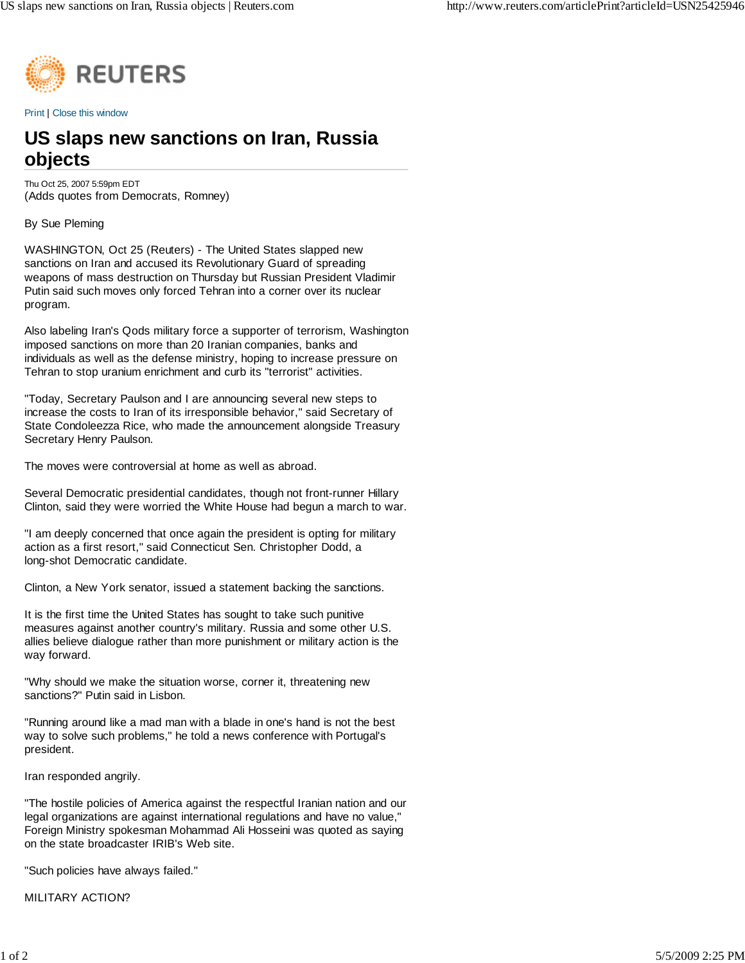

Print | Close this window

## **US slaps new sanctions on Iran, Russia objects**

Thu Oct 25, 2007 5:59pm EDT (Adds quotes from Democrats, Romney)

By Sue Pleming

WASHINGTON, Oct 25 (Reuters) - The United States slapped new sanctions on Iran and accused its Revolutionary Guard of spreading weapons of mass destruction on Thursday but Russian President Vladimir Putin said such moves only forced Tehran into a corner over its nuclear program.

Also labeling Iran's Qods military force a supporter of terrorism, Washington imposed sanctions on more than 20 Iranian companies, banks and individuals as well as the defense ministry, hoping to increase pressure on Tehran to stop uranium enrichment and curb its "terrorist" activities.

"Today, Secretary Paulson and I are announcing several new steps to increase the costs to Iran of its irresponsible behavior," said Secretary of State Condoleezza Rice, who made the announcement alongside Treasury Secretary Henry Paulson.

The moves were controversial at home as well as abroad.

Several Democratic presidential candidates, though not front-runner Hillary Clinton, said they were worried the White House had begun a march to war.

"I am deeply concerned that once again the president is opting for military action as a first resort," said Connecticut Sen. Christopher Dodd, a long-shot Democratic candidate.

Clinton, a New York senator, issued a statement backing the sanctions.

It is the first time the United States has sought to take such punitive measures against another country's military. Russia and some other U.S. allies believe dialogue rather than more punishment or military action is the way forward.

"Why should we make the situation worse, corner it, threatening new sanctions?" Putin said in Lisbon.

"Running around like a mad man with a blade in one's hand is not the best way to solve such problems," he told a news conference with Portugal's president.

Iran responded angrily.

"The hostile policies of America against the respectful Iranian nation and our legal organizations are against international regulations and have no value," Foreign Ministry spokesman Mohammad Ali Hosseini was quoted as saying on the state broadcaster IRIB's Web site.

"Such policies have always failed."

MILITARY ACTION?